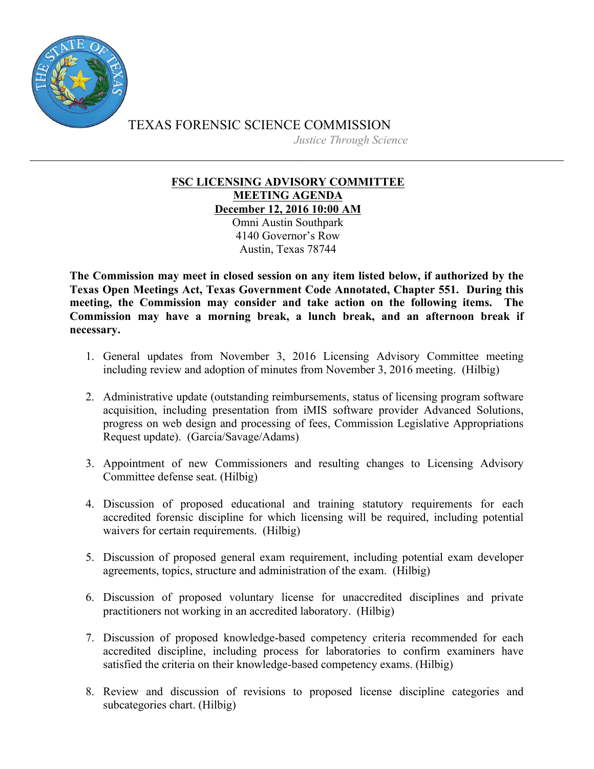

TEXAS FORENSIC SCIENCE COMMISSION *Justice Through Science*

## **FSC LICENSING ADVISORY COMMITTEE MEETING AGENDA December 12, 2016 10:00 AM**

Omni Austin Southpark 4140 Governor's Row Austin, Texas 78744

**The Commission may meet in closed session on any item listed below, if authorized by the Texas Open Meetings Act, Texas Government Code Annotated, Chapter 551. During this meeting, the Commission may consider and take action on the following items. The Commission may have a morning break, a lunch break, and an afternoon break if necessary.**

- 1. General updates from November 3, 2016 Licensing Advisory Committee meeting including review and adoption of minutes from November 3, 2016 meeting. (Hilbig)
- 2. Administrative update (outstanding reimbursements, status of licensing program software acquisition, including presentation from iMIS software provider Advanced Solutions, progress on web design and processing of fees, Commission Legislative Appropriations Request update). (Garcia/Savage/Adams)
- 3. Appointment of new Commissioners and resulting changes to Licensing Advisory Committee defense seat. (Hilbig)
- 4. Discussion of proposed educational and training statutory requirements for each accredited forensic discipline for which licensing will be required, including potential waivers for certain requirements. (Hilbig)
- 5. Discussion of proposed general exam requirement, including potential exam developer agreements, topics, structure and administration of the exam. (Hilbig)
- 6. Discussion of proposed voluntary license for unaccredited disciplines and private practitioners not working in an accredited laboratory. (Hilbig)
- 7. Discussion of proposed knowledge-based competency criteria recommended for each accredited discipline, including process for laboratories to confirm examiners have satisfied the criteria on their knowledge-based competency exams. (Hilbig)
- 8. Review and discussion of revisions to proposed license discipline categories and subcategories chart. (Hilbig)